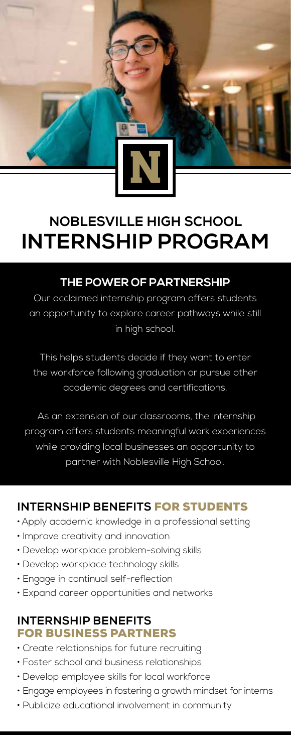

# **NOBLESVILLE HIGH SCHOOL INTERNSHIP PROGRAM**

## **THE POWER OF PARTNERSHIP**

Our acclaimed internship program offers students an opportunity to explore career pathways while still in high school.

This helps students decide if they want to enter the workforce following graduation or pursue other academic degrees and certifications.

 As an extension of our classrooms, the internship program offers students meaningful work experiences while providing local businesses an opportunity to partner with Noblesville High School.

### **INTERNSHIP BENEFITS** FOR STUDENTS

- •Apply academic knowledge in a professional setting
- Improve creativity and innovation
- Develop workplace problem-solving skills
- Develop workplace technology skills
- Engage in continual self-reflection
- Expand career opportunities and networks

#### **INTERNSHIP BENEFITS** FOR BUSINESS PARTNERS

- Create relationships for future recruiting
- Foster school and business relationships
- Develop employee skills for local workforce
- Engage employees in fostering a growth mindset for interns
- Publicize educational involvement in community